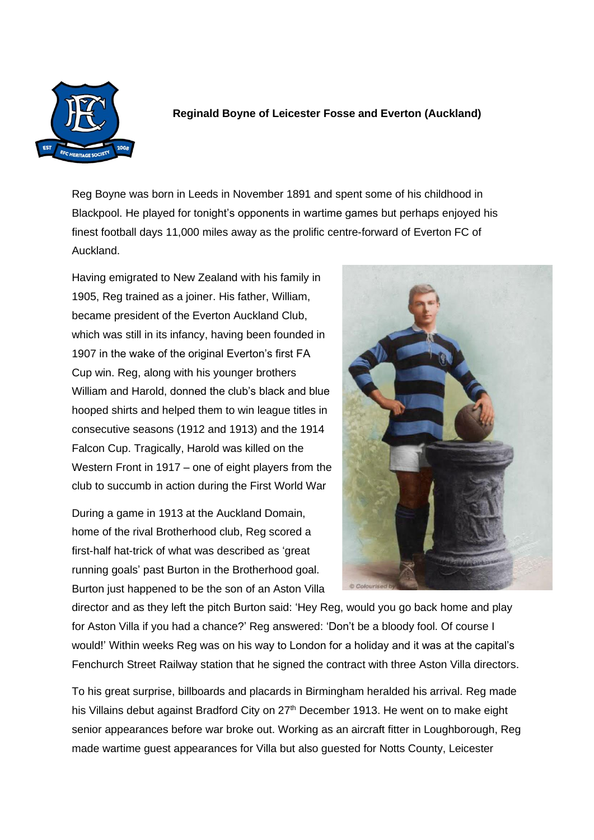

## **Reginald Boyne of Leicester Fosse and Everton (Auckland)**

Reg Boyne was born in Leeds in November 1891 and spent some of his childhood in Blackpool. He played for tonight's opponents in wartime games but perhaps enjoyed his finest football days 11,000 miles away as the prolific centre-forward of Everton FC of Auckland.

Having emigrated to New Zealand with his family in 1905, Reg trained as a joiner. His father, William, became president of the Everton Auckland Club, which was still in its infancy, having been founded in 1907 in the wake of the original Everton's first FA Cup win. Reg, along with his younger brothers William and Harold, donned the club's black and blue hooped shirts and helped them to win league titles in consecutive seasons (1912 and 1913) and the 1914 Falcon Cup. Tragically, Harold was killed on the Western Front in 1917 – one of eight players from the club to succumb in action during the First World War

During a game in 1913 at the Auckland Domain, home of the rival Brotherhood club, Reg scored a first-half hat-trick of what was described as 'great running goals' past Burton in the Brotherhood goal. Burton just happened to be the son of an Aston Villa



director and as they left the pitch Burton said: 'Hey Reg, would you go back home and play for Aston Villa if you had a chance?' Reg answered: 'Don't be a bloody fool. Of course I would!' Within weeks Reg was on his way to London for a holiday and it was at the capital's Fenchurch Street Railway station that he signed the contract with three Aston Villa directors.

To his great surprise, billboards and placards in Birmingham heralded his arrival. Reg made his Villains debut against Bradford City on 27<sup>th</sup> December 1913. He went on to make eight senior appearances before war broke out. Working as an aircraft fitter in Loughborough, Reg made wartime guest appearances for Villa but also guested for Notts County, Leicester